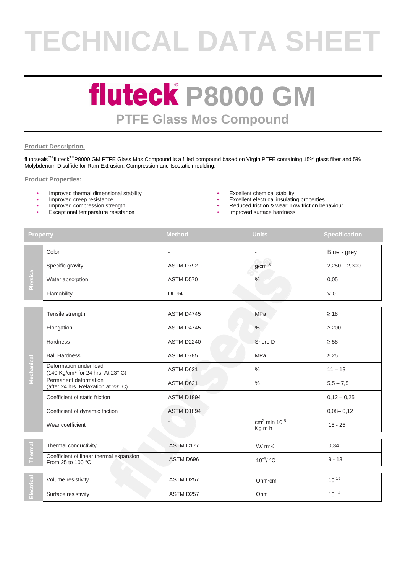# **TECHNICAL DATA SHEET**

### **fluteck P8000 GM PTFE Glass Mos Compound**

#### **Product Description.**

fluorseals™ fluteck<sup>™</sup>P8000 GM PTFE Glass Mos Compound is a filled compound based on Virgin PTFE containing 15% glass fiber and 5% Molybdenum Disulfide for Ram Extrusion, Compression and Isostatic moulding.

#### **Product Properties:**

- Improved thermal dimensional stability **•** Excellent chemical stability **•** Excellent chemical stability **•** Excellent electrical insulatir
- 
- 
- Exceptional temperature resistance
- 
- **Excellent electrical insulating properties**
- Improved compression strength  **Computer Computer Computer Computer Computer Computer Computer Computer Computer Computer Computer Computer Computer Computer Computer Computer Computer Computer Computer Computer Compute** 
	-

| <b>Property</b>  |                                                                         | <b>Method</b>            | <b>Units</b>                                      | <b>Specification</b> |
|------------------|-------------------------------------------------------------------------|--------------------------|---------------------------------------------------|----------------------|
| <b>Physical</b>  | Color                                                                   |                          |                                                   | Blue - grey          |
|                  | Specific gravity                                                        | ASTM D792                | g/cm <sup>3</sup>                                 | $2,250 - 2,300$      |
|                  | Water absorption                                                        | ASTM D570                | $\%$                                              | 0,05                 |
|                  | Flamability                                                             | <b>UL 94</b>             |                                                   | $V-0$                |
| Mechanical       | Tensile strength                                                        | ASTM D4745               | MPa                                               | $\geq 18$            |
|                  | Elongation                                                              | ASTM D4745               | $\%$                                              | $\geq 200$           |
|                  | <b>Hardness</b>                                                         | <b>ASTM D2240</b>        | Shore D                                           | $\geq 58$            |
|                  | <b>Ball Hardness</b>                                                    | ASTM D785                | MPa                                               | $\geq 25$            |
|                  | Deformation under load<br>(140 Kg/cm <sup>2</sup> for 24 hrs. At 23° C) | <b>ASTM D621</b>         | $\%$                                              | $11 - 13$            |
|                  | Permanent deformation<br>(after 24 hrs. Relaxation at 23° C)            | ASTM D621                | $\%$                                              | $5,5 - 7,5$          |
|                  | Coefficient of static friction                                          | ASTM D1894               |                                                   | $0,12 - 0,25$        |
|                  | Coefficient of dynamic friction                                         | ASTM D1894               |                                                   | $0,08 - 0,12$        |
|                  | Wear coefficient                                                        | $\overline{\phantom{a}}$ | $cm3$ min 10 <sup>-8</sup><br>$Kg \overline{m} h$ | $15 - 25$            |
| ल<br>न<br>e<br>F | Thermal conductivity                                                    | ASTM C177                | W/m·K                                             | 0,34                 |
|                  | Coefficient of linear thermal expansion<br>From 25 to 100 °C            | ASTM D696                | $10^{-5}$ / °C                                    | $9 - 13$             |
| Electrical       | Volume resistivity                                                      | ASTM D257                | Ohm·cm                                            | $10^{15}$            |
|                  | Surface resistivity                                                     | ASTM D257                | Ohm                                               | $10^{14}$            |